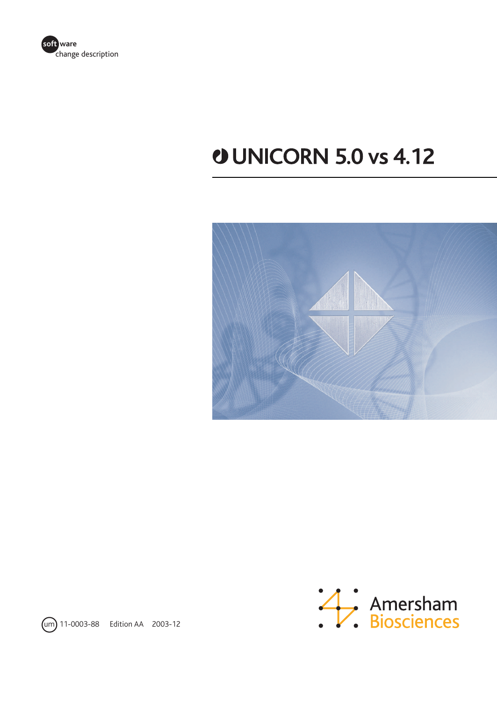

# **UNICORN 5.0 vs 4.12**





um 11-0003-88 Edition AA 2003-12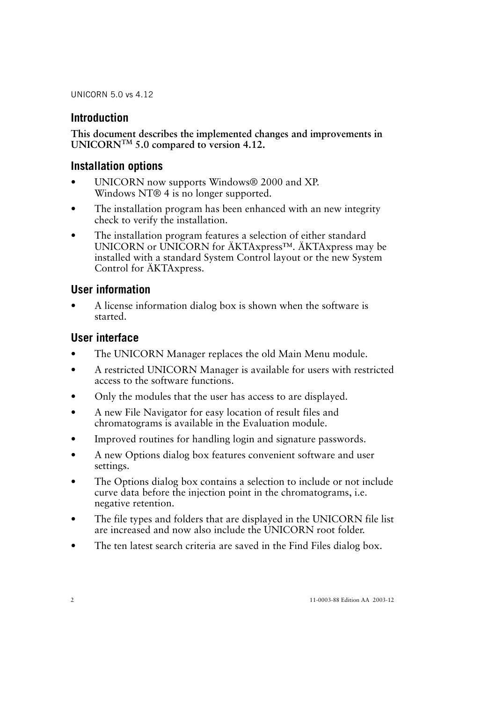### **Introduction**

**This document describes the implemented changes and improvements in UNICORNTM 5.0 compared to version 4.12.**

### **Installation options**

- UNICORN now supports Windows® 2000 and XP. Windows NT® 4 is no longer supported.
- The installation program has been enhanced with an new integrity check to verify the installation.
- The installation program features a selection of either standard UNICORN or UNICORN for ÄKTAxpress™. ÄKTAxpress may be installed with a standard System Control layout or the new System Control for ÄKTAxpress.

#### **User information**

• A license information dialog box is shown when the software is started.

### **User interface**

- The UNICORN Manager replaces the old Main Menu module.
- A restricted UNICORN Manager is available for users with restricted access to the software functions.
- Only the modules that the user has access to are displayed.
- A new File Navigator for easy location of result files and chromatograms is available in the Evaluation module.
- Improved routines for handling login and signature passwords.
- A new Options dialog box features convenient software and user settings.
- The Options dialog box contains a selection to include or not include curve data before the injection point in the chromatograms, i.e. negative retention.
- The file types and folders that are displayed in the UNICORN file list are increased and now also include the UNICORN root folder.
- The ten latest search criteria are saved in the Find Files dialog box.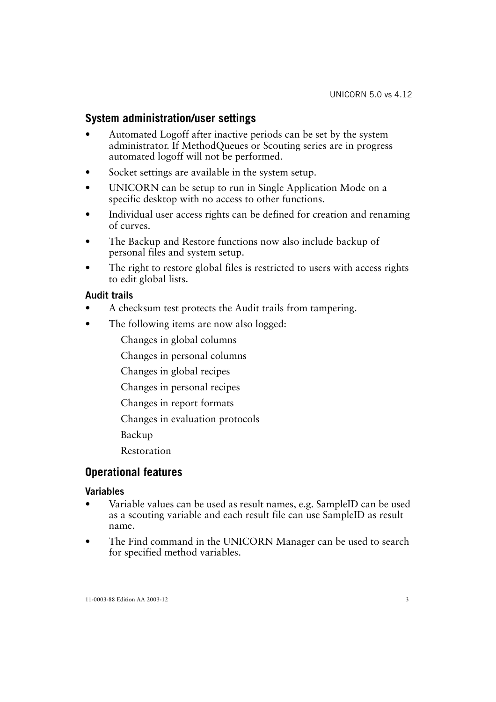# **System administration/user settings**

- Automated Logoff after inactive periods can be set by the system administrator. If MethodQueues or Scouting series are in progress automated logoff will not be performed.
- Socket settings are available in the system setup.
- UNICORN can be setup to run in Single Application Mode on a specific desktop with no access to other functions.
- Individual user access rights can be defined for creation and renaming of curves.
- The Backup and Restore functions now also include backup of personal files and system setup.
- The right to restore global files is restricted to users with access rights to edit global lists.

#### **Audit trails**

- A checksum test protects the Audit trails from tampering.
- The following items are now also logged:
	- Changes in global columns
	- Changes in personal columns
	- Changes in global recipes
	- Changes in personal recipes
	- Changes in report formats
	- Changes in evaluation protocols
	- Backup
	- Restoration

#### **Operational features**

#### **Variables**

- Variable values can be used as result names, e.g. SampleID can be used as a scouting variable and each result file can use SampleID as result name.
- The Find command in the UNICORN Manager can be used to search for specified method variables.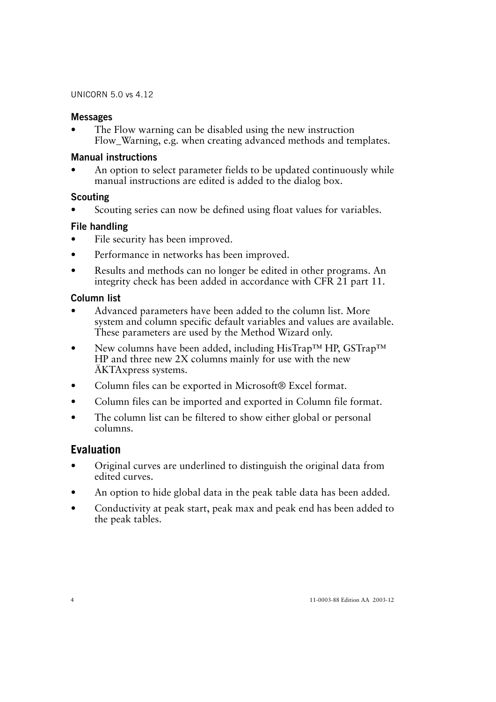#### **Messages**

The Flow warning can be disabled using the new instruction Flow Warning, e.g. when creating advanced methods and templates.

#### **Manual instructions**

• An option to select parameter fields to be updated continuously while manual instructions are edited is added to the dialog box.

#### **Scouting**

Scouting series can now be defined using float values for variables.

#### **File handling**

- File security has been improved.
- Performance in networks has been improved.
- Results and methods can no longer be edited in other programs. An integrity check has been added in accordance with CFR 21 part 11.

#### **Column list**

- Advanced parameters have been added to the column list. More system and column specific default variables and values are available. These parameters are used by the Method Wizard only.
- New columns have been added, including HisTrap™ HP, GSTrap™ HP and three new 2X columns mainly for use with the new ÄKTAxpress systems.
- Column files can be exported in Microsoft® Excel format.
- Column files can be imported and exported in Column file format.
- The column list can be filtered to show either global or personal columns.

# **Evaluation**

- Original curves are underlined to distinguish the original data from edited curves.
- An option to hide global data in the peak table data has been added.
- Conductivity at peak start, peak max and peak end has been added to the peak tables.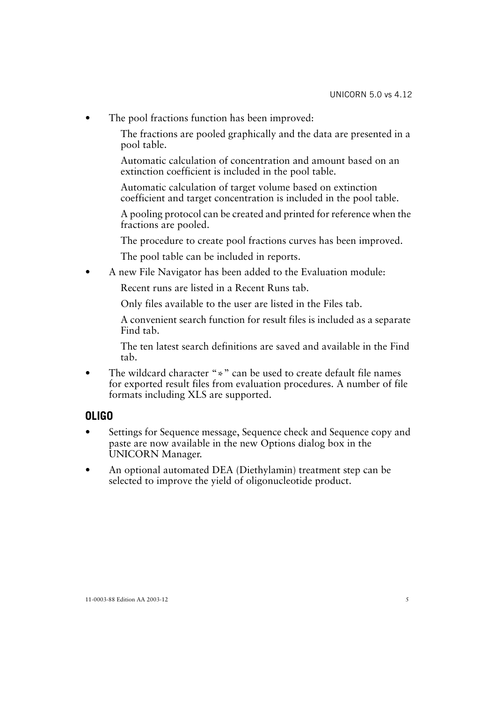The pool fractions function has been improved:

The fractions are pooled graphically and the data are presented in a pool table.

Automatic calculation of concentration and amount based on an extinction coefficient is included in the pool table.

Automatic calculation of target volume based on extinction coefficient and target concentration is included in the pool table.

A pooling protocol can be created and printed for reference when the fractions are pooled.

The procedure to create pool fractions curves has been improved.

The pool table can be included in reports.

• A new File Navigator has been added to the Evaluation module:

Recent runs are listed in a Recent Runs tab.

Only files available to the user are listed in the Files tab.

A convenient search function for result files is included as a separate Find tab.

The ten latest search definitions are saved and available in the Find tab.

The wildcard character "\*" can be used to create default file names for exported result files from evaluation procedures. A number of file formats including XLS are supported.

# **OLIGO**

- Settings for Sequence message, Sequence check and Sequence copy and paste are now available in the new Options dialog box in the UNICORN Manager.
- An optional automated DEA (Diethylamin) treatment step can be selected to improve the yield of oligonucleotide product.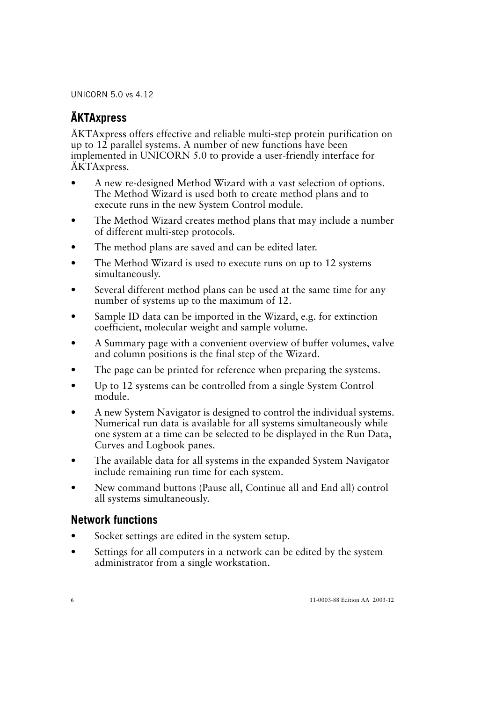# **ÄKTAxpress**

ÄKTAxpress offers effective and reliable multi-step protein purification on up to 12 parallel systems. A number of new functions have been implemented in UNICORN 5.0 to provide a user-friendly interface for ÄKTAxpress.

- A new re-designed Method Wizard with a vast selection of options. The Method Wizard is used both to create method plans and to execute runs in the new System Control module.
- The Method Wizard creates method plans that may include a number of different multi-step protocols.
- The method plans are saved and can be edited later.
- The Method Wizard is used to execute runs on up to 12 systems simultaneously.
- Several different method plans can be used at the same time for any number of systems up to the maximum of 12.
- Sample ID data can be imported in the Wizard, e.g. for extinction coefficient, molecular weight and sample volume.
- A Summary page with a convenient overview of buffer volumes, valve and column positions is the final step of the Wizard.
- The page can be printed for reference when preparing the systems.
- Up to 12 systems can be controlled from a single System Control module.
- A new System Navigator is designed to control the individual systems. Numerical run data is available for all systems simultaneously while one system at a time can be selected to be displayed in the Run Data, Curves and Logbook panes.
- The available data for all systems in the expanded System Navigator include remaining run time for each system.
- New command buttons (Pause all, Continue all and End all) control all systems simultaneously.

# **Network functions**

- Socket settings are edited in the system setup.
- Settings for all computers in a network can be edited by the system administrator from a single workstation.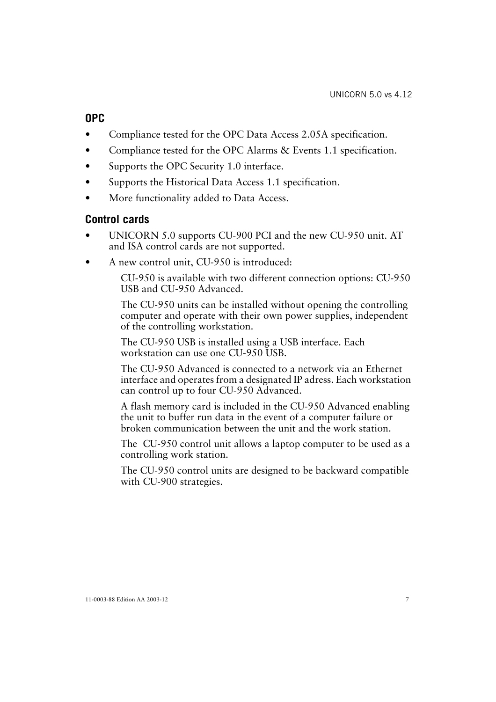# **OPC**

- Compliance tested for the OPC Data Access 2.05A specification.
- Compliance tested for the OPC Alarms & Events 1.1 specification.
- Supports the OPC Security 1.0 interface.
- Supports the Historical Data Access 1.1 specification.
- More functionality added to Data Access.

# **Control cards**

- UNICORN 5.0 supports CU-900 PCI and the new CU-950 unit. AT and ISA control cards are not supported.
- A new control unit, CU-950 is introduced:

CU-950 is available with two different connection options: CU-950 USB and CU-950 Advanced.

The CU-950 units can be installed without opening the controlling computer and operate with their own power supplies, independent of the controlling workstation.

The CU-950 USB is installed using a USB interface. Each workstation can use one CU-950 USB.

The CU-950 Advanced is connected to a network via an Ethernet interface and operates from a designated IP adress. Each workstation can control up to four CU-950 Advanced.

A flash memory card is included in the CU-950 Advanced enabling the unit to buffer run data in the event of a computer failure or broken communication between the unit and the work station.

The CU-950 control unit allows a laptop computer to be used as a controlling work station.

The CU-950 control units are designed to be backward compatible with CU-900 strategies.